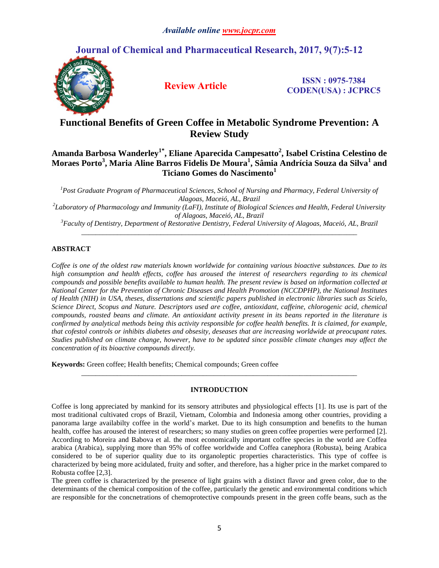# **Journal of Chemical and Pharmaceutical Research, 2017, 9(7):5-12**



**Review Article ISSN : 0975-7384 CODEN(USA) : JCPRC5**

# **Functional Benefits of Green Coffee in Metabolic Syndrome Prevention: A Review Study**

# **Amanda Barbosa Wanderley1\* , Eliane Aparecida Campesatto<sup>2</sup> , Isabel Cristina Celestino de Moraes Porto<sup>3</sup> , Maria Aline Barros Fidelis De Moura<sup>1</sup> , Sâmia Andrícia Souza da Silva<sup>1</sup> and Ticiano Gomes do Nascimento<sup>1</sup>**

*<sup>1</sup>Post Graduate Program of Pharmaceutical Sciences, School of Nursing and Pharmacy, Federal University of Alagoas, Maceió, AL, Brazil*

*2 Laboratory of Pharmacology and Immunity (LaFI), Institute of Biological Sciences and Health, Federal University of Alagoas, Maceió, AL, Brazil*

*<sup>3</sup>Faculty of Dentistry, Department of Restorative Dentistry, Federal University of Alagoas, Maceió, AL, Brazil \_\_\_\_\_\_\_\_\_\_\_\_\_\_\_\_\_\_\_\_\_\_\_\_\_\_\_\_\_\_\_\_\_\_\_\_\_\_\_\_\_\_\_\_\_\_\_\_\_\_\_\_\_\_\_\_\_\_\_\_\_\_\_\_\_\_\_\_\_\_\_\_\_\_\_\_\_*

## **ABSTRACT**

*Coffee is one of the oldest raw materials known worldwide for containing various bioactive substances. Due to its high consumption and health effects, coffee has aroused the interest of researchers regarding to its chemical compounds and possible benefits available to human health. The present review is based on information collected at National Center for the Prevention of Chronic Diseases and Health Promotion (NCCDPHP), the National Institutes of Health (NIH) in USA, theses, dissertations and scientific papers published in electronic libraries such as Scielo, Science Direct, Scopus and Nature. Descriptors used are coffee, antioxidant, caffeine, chlorogenic acid, chemical compounds, roasted beans and climate. An antioxidant activity present in its beans reported in the literature is confirmed by analytical methods being this activity responsible for coffee health benefits. It is claimed, for example, that cofestol controls or inhibits diabetes and obsesity, deseases that are increasing worldwide at preocupant rates. Studies published on climate change, however, have to be updated since possible climate changes may affect the concentration of its bioactive compounds directly.*

**Keywords:** Green coffee; Health benefits; Chemical compounds; Green coffee

## **INTRODUCTION**

*\_\_\_\_\_\_\_\_\_\_\_\_\_\_\_\_\_\_\_\_\_\_\_\_\_\_\_\_\_\_\_\_\_\_\_\_\_\_\_\_\_\_\_\_\_\_\_\_\_\_\_\_\_\_\_\_\_\_\_\_\_\_\_\_\_\_\_\_\_\_\_\_\_\_\_\_\_*

The green coffee is characterized by the presence of light grains with a distinct flavor and green color, due to the determinants of the chemical composition of the coffee, particularly the genetic and environmental conditions which are responsible for the concnetrations of chemoprotective compounds present in the green coffe beans, such as the

Coffee is long appreciated by mankind for its sensory attributes and physiological effects [1]. Its use is part of the most traditional cultivated crops of Brazil, Vietnam, Colombia and Indonesia among other countries, providing a panorama large availabilty coffee in the world's market. Due to its high consumption and benefits to the human health, coffee has aroused the interest of researchers; so many studies on green coffee properties were performed [2]. According to Moreira and Babova et al. the most economically important coffee species in the world are Coffea arabica (Arabica), supplying more than 95% of coffee worldwide and Coffea canephora (Robusta), being Arabica considered to be of superior quality due to its organoleptic properties characteristics. This type of coffee is characterized by being more acidulated, fruity and softer, and therefore, has a higher price in the market compared to Robusta coffee [2,3].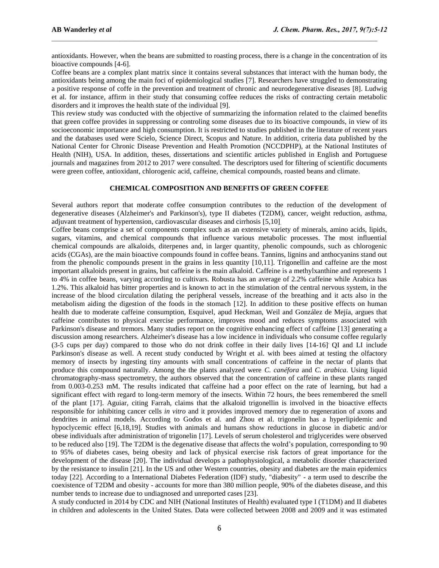antioxidants. However, when the beans are submitted to roasting process, there is a change in the concentration of its bioactive compounds [4-6].

Coffee beans are a complex plant matrix since it contains several substances that interact with the human body, the antioxidants being among the main foci of epidemiological studies [7]. Researchers have struggled to demonstrating a positive response of coffe in the prevention and treatment of chronic and neurodegenerative diseases [8]. Ludwig et al. for instance, affirm in their study that consuming coffee reduces the risks of contracting certain metabolic disorders and it improves the health state of the individual [9].

This review study was conducted with the objective of summarizing the information related to the claimed benefits that green coffee provides in suppressing or controling some diseases due to its bioactive compounds, in view of its socioeconomic importance and high consumption. It is restricted to studies published in the literature of recent years and the databases used were Scielo, Science Direct, Scopus and Nature. In addition, criteria data published by the National Center for Chronic Disease Prevention and Health Promotion (NCCDPHP), at the National Institutes of Health (NIH), USA. In addition, theses, dissertations and scientific articles published in English and Portuguese journals and magazines from 2012 to 2017 were consulted. The descriptors used for filtering of scientific documents were green coffee, antioxidant, chlorogenic acid, caffeine, chemical compounds, roasted beans and climate.

### **CHEMICAL COMPOSITION AND BENEFITS OF GREEN COFFEE**

Several authors report that moderate coffee consumption contributes to the reduction of the development of degenerative diseases (Alzheimer's and Parkinson's), type II diabetes (T2DM), cancer, weight reduction, asthma, adjuvant treatment of hypertension, cardiovascular diseases and cirrhosis [5,10].

Coffee beans comprise a set of components complex such as an extensive variety of minerals, amino acids, lipids, sugars, vitamins, and chemical compounds that influence various metabolic processes. The most influential chemical compounds are alkaloids, diterpenes and, in larger quantity, phenolic compounds, such as chlorogenic acids (CGAs), are the main bioactive compounds found in coffee beans. Tannins, lignins and anthocyanins stand out from the phenolic compounds present in the grains in less quantity [10,11]. Trigonellin and caffeine are the most important alkaloids present in grains, but caffeine is the main alkaloid. Caffeine is a methylxanthine and represents 1 to 4% in coffee beans, varying according to cultivars. Robusta has an average of 2.2% caffeine while Arabica has 1.2%. This alkaloid has bitter properties and is known to act in the stimulation of the central nervous system, in the increase of the blood circulation dilating the peripheral vessels, increase of the breathing and it acts also in the metabolism aiding the digestion of the foods in the stomach [12]. In addition to these positive effects on human health due to moderate caffeine consumption, Esquivel, apud Heckman, Weil and González de Mejía, argues that caffeine contributes to physical exercise performance, improves mood and reduces symptoms associated with Parkinson's disease and tremors. Many studies report on the cognitive enhancing effect of caffeine [13] generating a discussion among researchers. Alzheimer's disease has a low incidence in individuals who consume coffee regularly (3-5 cups per day) compared to those who do not drink coffee in their daily lives [14-16] . QI and LI include Parkinson's disease as well. A recent study conducted by Wright et al. with bees aimed at testing the olfactory memory of insects by ingesting tiny amounts with small concentrations of caffeine in the nectar of plants that produce this compound naturally. Among the the plants analyzed were *C. canéfora* and *C. arabica*. Using liquid chromatography-mass spectrometry, the authors observed that the concentration of caffeine in these plants ranged from 0.003-0.253 mM. The results indicated that caffeine had a poor effect on the rate of learning, but had a significant effect with regard to long-term memory of the insects. Within 72 hours, the bees remembered the smell of the plant [17]. Aguiar, citing Farrah, claims that the alkaloid trigonellin is involved in the bioactive effects responsible for inhibiting cancer cells *in vitro* and it provides improved memory due to regeneration of axons and dendrites in animal models. According to Godos et al. and Zhou et al. trigonelin has a hyperlipidemic and hypoclycemic effect [6,18,19]. Studies with animals and humans show reductions in glucose in diabetic and/or obese individuals after administration of trigonelin [17]. Levels of serum cholesterol and triglycerides were observed to be reduced also [19]. The T2DM is the degenative disease that affects the wolrd's population, corresponding to 90 to 95% of diabetes cases, being obesity and lack of physical exercise risk factors of great importance for the development of the disease [20]. The individual develops a pathophysiological, a metabolic disorder characterized by the resistance to insulin [21]. In the US and other Western countries, obesity and diabetes are the main epidemics today [22]. According to a International Diabetes Federation (IDF) study, "diabesity" - a term used to describe the coexistence of T2DM and obesity - accounts for more than 380 million people, 90% of the diabetes disease, and this number tends to increase due to undiagnosed and unreported cases [23].

A study conducted in 2014 by CDC and NIH (National Institutes of Health) evaluated type I (T1DM) and II diabetes in children and adolescents in the United States. Data were collected between 2008 and 2009 and it was estimated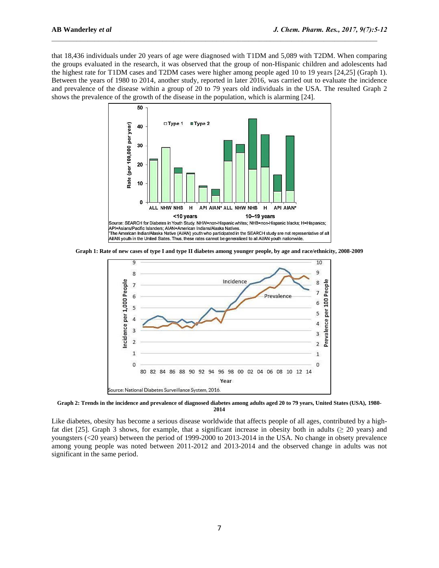that 18,436 individuals under 20 years of age were diagnosed with T1DM and 5,089 with T2DM. When comparing the groups evaluated in the research, it was observed that the group of non-Hispanic children and adolescents had the highest rate for T1DM cases and T2DM cases were higher among people aged 10 to 19 years [24,25] (Graph 1). Between the years of 1980 to 2014, another study, reported in later 2016, was carried out to evaluate the incidence and prevalence of the disease within a group of 20 to 79 years old individuals in the USA. The resulted Graph 2 shows the prevalence of the growth of the disease in the population, which is alarming [24].



**Graph 1: Rate of new cases of type I and type II diabetes among younger people, by age and race/ethnicity, 2008-2009**



**Graph 2: Trends in the incidence and prevalence of diagnosed diabetes among adults aged 20 to 79 years, United States (USA), 1980- 2014**

Like diabetes, obesity has become a serious disease worldwide that affects people of all ages, contributed by a highfat diet [25]. Graph 3 shows, for example, that a significant increase in obesity both in adults ( $\geq$  20 years) and youngsters (<20 years) between the period of 1999-2000 to 2013-2014 in the USA. No change in obsety prevalence among young people was noted between 2011-2012 and 2013-2014 and the observed change in adults was not significant in the same period.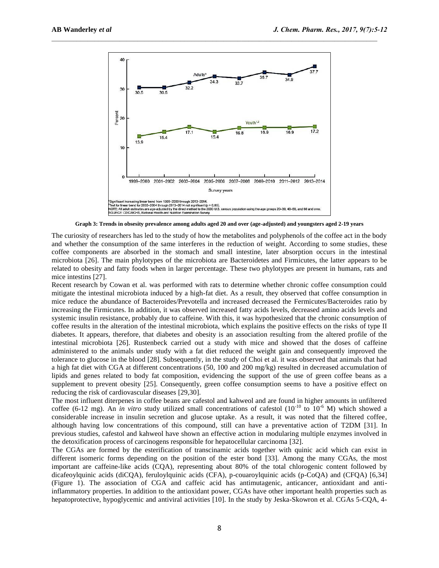

**Graph 3: Trends in obsesity prevalence among adults aged 20 and over (age-adjusted) and youngsters aged 2-19 years**

The curiosity of researchers has led to the study of how the metabolites and polyphenols of the coffee act in the body and whether the consumption of the same interferes in the reduction of weight. According to some studies, these coffee components are absorbed in the stomach and small intestine, later absorption occurs in the intestinal microbiota [26]. The main phylotypes of the microbiota are Bacteroidetes and Firmicutes, the latter appears to be related to obesity and fatty foods when in larger percentage. These two phylotypes are present in humans, rats and mice intestins [27].

Recent research by Cowan et al. was performed with rats to determine whether chronic coffee consumption could mitigate the intestinal microbiota induced by a high-fat diet. As a result, they observed that coffee consumption in mice reduce the abundance of Bacteroides/Prevotella and increased decreased the Fermicutes/Bacteroides ratio by increasing the Firmicutes. In addition, it was observed increased fatty acids levels, decreased amino acids levels and systemic insulin resistance, probably due to caffeine. With this, it was hypothesized that the chronic consumption of coffee results in the alteration of the intestinal microbiota, which explains the positive effects on the risks of type II diabetes. It appears, therefore, that diabetes and obesity is an association resulting from the altered profile of the intestinal microbiota [26]. Rustenbeck carried out a study with mice and showed that the doses of caffeine administered to the animals under study with a fat diet reduced the weight gain and consequently improved the tolerance to glucose in the blood [28]. Subsequently, in the study of Choi et al. it was observed that animals that had a high fat diet with CGA at different concentrations (50, 100 and 200 mg/kg) resulted in decreased accumulation of lipids and genes related to body fat composition, evidencing the support of the use of green coffee beans as a supplement to prevent obesity [25]. Consequently, green coffee consumption seems to have a positive effect on reducing the risk of cardiovascular diseases [29,30].

The most influent diterpenes in coffee beans are cafestol and kahweol and are found in higher amounts in unfiltered coffee (6-12 mg). An *in vitro* study utilized small concentrations of cafestol ( $10^{-10}$  to  $10^{-6}$  M) which showed a considerable increase in insulin secretion and glucose uptake. As a result, it was noted that the filtered coffee, although having low concentrations of this compound, still can have a preventative action of T2DM [31]. In previous studies, cafestol and kahweol have shown an effective action in modularing multiple enzymes involved in the detoxification process of carcinogens responsible for hepatocellular carcinoma [32].

The CGAs are formed by the esterification of transcinamic acids together with quinic acid which can exist in different isomeric forms depending on the position of the ester bond [33]. Among the many CGAs, the most important are caffeine-like acids (CQA), representing about 80% of the total chlorogenic content followed by dicafeoylquinic acids (diCQA), feruloylquinic acids (CFA), p-couaroylquinic acids (p-CoQA) and (CFQA) [6,34] (Figure 1). The association of CGA and caffeic acid has antimutagenic, anticancer, antioxidant and antiinflammatory properties. In addition to the antioxidant power, CGAs have other important health properties such as hepatoprotective, hypoglycemic and antiviral activities [10]. In the study by Jeska-Skowron et al. CGAs 5-CQA, 4-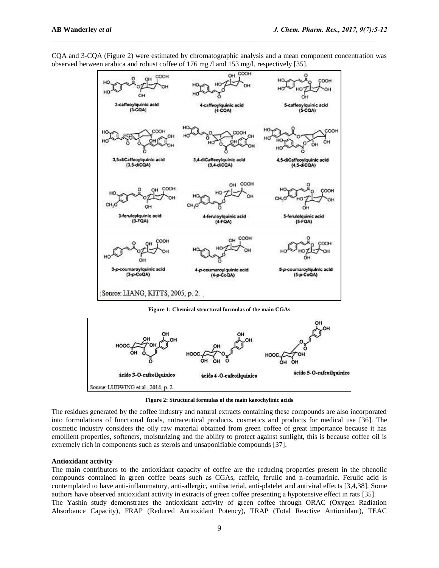

CQA and 3-CQA (Figure 2) were estimated by chromatographic analysis and a mean component concentration was observed between arabica and robust coffee of 176 mg /l and 153 mg/l, respectively [35].

**Figure 1: Chemical structural formulas of the main CGAs**



**Figure 2: Structural formulas of the main kaeochylinic acids**

The residues generated by the coffee industry and natural extracts containing these compounds are also incorporated into formulations of functional foods, nutraceutical products, cosmetics and products for medical use [36]. The cosmetic industry considers the oily raw material obtained from green coffee of great importance because it has emollient properties, softeners, moisturizing and the ability to protect against sunlight, this is because coffee oil is extremely rich in components such as sterols and unsaponifiable compounds [37].

#### **Antioxidant activity**

The main contributors to the antioxidant capacity of coffee are the reducing properties present in the phenolic compounds contained in green coffee beans such as CGAs, caffeic, ferulic and n-coumarinic. Ferulic acid is contemplated to have anti-inflammatory, anti-allergic, antibacterial, anti-platelet and antiviral effects [3,4,38]. Some authors have observed antioxidant activity in extracts of green coffee presenting a hypotensive effect in rats [35]. The Yashin study demonstrates the antioxidant activity of green coffee through ORAC (Oxygen Radiation

Absorbance Capacity), FRAP (Reduced Antioxidant Potency), TRAP (Total Reactive Antioxidant), TEAC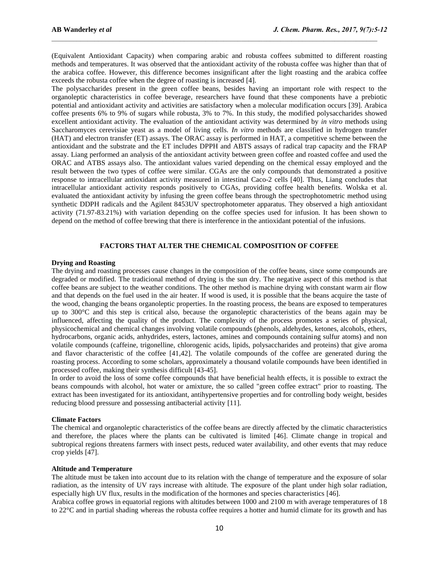(Equivalent Antioxidant Capacity) when comparing arabic and robusta coffees submitted to different roasting methods and temperatures. It was observed that the antioxidant activity of the robusta coffee was higher than that of the arabica coffee. However, this difference becomes insignificant after the light roasting and the arabica coffee exceeds the robusta coffee when the degree of roasting is increased [4].

The polysaccharides present in the green coffee beans, besides having an important role with respect to the organoleptic characteristics in coffee beverage, researchers have found that these components have a prebiotic potential and antioxidant activity and activities are satisfactory when a molecular modification occurs [39]. Arabica coffee presents 6% to 9% of sugars while robusta, 3% to 7%. In this study, the modified polysaccharides showed excellent antioxidant activity. The evaluation of the antioxidant activity was determined by *in vitro* methods using Saccharomyces cerevisiae yeast as a model of living cells. *In vitro* methods are classified in hydrogen transfer (HAT) and electron transfer (ET) assays. The ORAC assay is performed in HAT, a competitive scheme between the antioxidant and the substrate and the ET includes DPPH and ABTS assays of radical trap capacity and the FRAP assay. Liang performed an analysis of the antioxidant activity between green coffee and roasted coffee and used the ORAC and ATBS assays also. The antioxidant values varied depending on the chemical essay employed and the result between the two types of coffee were similar. CGAs are the only compounds that demonstrated a positive response to intracellular antioxidant activity measured in intestinal Caco-2 cells [40]. Thus, Liang concludes that intracellular antioxidant activity responds positively to CGAs, providing coffee health benefits. Wolska et al. evaluated the antioxidant activity by infusing the green coffee beans through the spectrophotometric method using synthetic DDPH radicals and the Agilent 8453UV spectrophotometer apparatus. They observed a high antioxidant activity (71.97-83.21%) with variation depending on the coffee species used for infusion. It has been shown to depend on the method of coffee brewing that there is interference in the antioxidant potential of the infusions.

### **FACTORS THAT ALTER THE CHEMICAL COMPOSITION OF COFFEE**

### **Drying and Roasting**

The drying and roasting processes cause changes in the composition of the coffee beans, since some compounds are degraded or modified. The tradicional method of drying is the sun dry. The negative aspect of this method is that coffee beans are subject to the weather conditions. The other method is machine drying with constant warm air flow and that depends on the fuel used in the air heater. If wood is used, it is possible that the beans acquire the taste of the wood, changing the beans organoleptic properties. In the roasting process, the beans are exposed to temperatures up to 300°C and this step is critical also, because the organoleptic characteristics of the beans again may be influenced, affecting the quality of the product. The complexity of the process promotes a series of physical, physicochemical and chemical changes involving volatile compounds (phenols, aldehydes, ketones, alcohols, ethers, hydrocarbons, organic acids, anhydrides, esters, lactones, amines and compounds containing sulfur atoms) and non volatile compounds (caffeine, trigonelline, chlorogenic acids, lipids, polysaccharides and proteins) that give aroma and flavor characteristic of the coffee [41,42]. The volatile compounds of the coffee are generated during the roasting process. According to some scholars, approximately a thousand volatile compounds have been identified in processed coffee, making their synthesis difficult [43-45].

In order to avoid the loss of some coffee compounds that have beneficial health effects, it is possible to extract the beans compounds with alcohol, hot water or amixture, the so called "green coffee extract" prior to roasting. The extract has been investigated for its antioxidant, antihypertensive properties and for controlling body weight, besides reducing blood pressure and possessing antibacterial activity [11].

#### **Climate Factors**

The chemical and organoleptic characteristics of the coffee beans are directly affected by the climatic characteristics and therefore, the places where the plants can be cultivated is limited [46]. Climate change in tropical and subtropical regions threatens farmers with insect pests, reduced water availability, and other events that may reduce crop yields [47].

#### **Altitude and Temperature**

The altitude must be taken into account due to its relation with the change of temperature and the exposure of solar radiation, as the intensity of UV rays increase with altitude. The exposure of the plant under high solar radiation, especially high UV flux, results in the modification of the hormones and species characteristics [46].

Arabica coffee grows in equatorial regions with altitudes between 1000 and 2100 m with average temperatures of 18 to 22°C and in partial shading whereas the robusta coffee requires a hotter and humid climate for its growth and has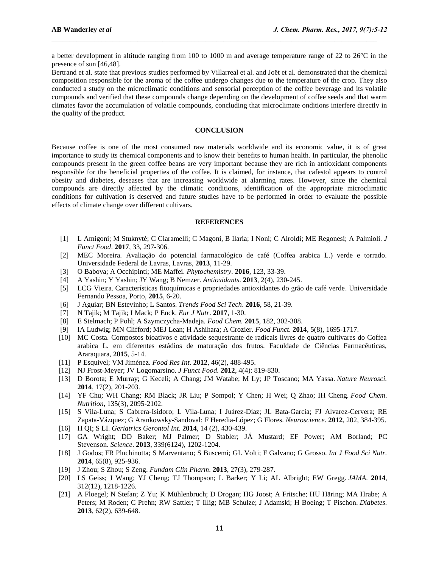a better development in altitude ranging from 100 to 1000 m and average temperature range of 22 to 26°C in the presence of sun [46,48].

Bertrand et al. state that previous studies performed by Villarreal et al. and Joët et al. demonstrated that the chemical composition responsible for the aroma of the coffee undergo changes due to the temperature of the crop. They also conducted a study on the microclimatic conditions and sensorial perception of the coffee beverage and its volatile compounds and verified that these compounds change depending on the development of coffee seeds and that warm climates favor the accumulation of volatile compounds, concluding that microclimate onditions interfere directly in the quality of the product.

#### **CONCLUSION**

Because coffee is one of the most consumed raw materials worldwide and its economic value, it is of great importance to study its chemical components and to know their benefits to human health. In particular, the phenolic compounds present in the green coffee beans are very important because they are rich in antioxidant components responsible for the beneficial properties of the coffee. It is claimed, for instance, that cafestol appears to control obesity and diabetes, deseases that are increasing worldwide at alarming rates. However, since the chemical compounds are directly affected by the climatic conditions, identification of the appropriate microclimatic conditions for cultivation is deserved and future studies have to be performed in order to evaluate the possible effects of climate change over different cultivars.

#### **REFERENCES**

- [1] L Amigoni; M Stuknytè; C Ciaramelli; C Magoni, B Ilaria; I Noni; C Airoldi; ME Regonesi; A Palmioli. *J Funct Food*. **2017**, 33, 297-306.
- [2] MEC Moreira. Avaliação do potencial farmacológico de café (Coffea arabica L.) verde e torrado. Universidade Federal de Lavras, Lavras, **2013**, 11-29.
- [3] O Babova; A Occhipinti; ME Maffei. *Phytochemistry*. **2016**, 123, 33-39.
- [4] A Yashin; Y Yashin; JY Wang; B Nemzer. *Antioxidants*. **2013**, 2(4), 230-245.
- [5] LCG Vieira. Características fitoquímicas e propriedades antioxidantes do grão de café verde. Universidade Fernando Pessoa, Porto, **2015**, 6-20.
- [6] J Aguiar; BN Estevinho; L Santos. *Trends Food Sci Tech*. **2016**, 58, 21-39.
- [7] N Tajik; M Tajik; I Mack; P Enck. *Eur J Nutr*. **2017**, 1-30.
- [8] E Stelmach; P Pohl; A Szymczycha-Madeja. *Food Chem.* **2015**, 182, 302-308.
- [9] IA Ludwig; MN Clifford; MEJ Lean; H Ashihara; A Crozier. *Food Funct.* **2014**, 5(8), 1695-1717.
- [10] MC Costa. Compostos bioativos e atividade sequestrante de radicais livres de quatro cultivares do Coffea arabica L. em diferentes estádios de maturação dos frutos. Faculdade de Ciências Farmacêuticas, Araraquara, **2015**, 5-14.
- [11] P Esquivel; VM Jiménez. *Food Res Int.* **2012**, 46(2), 488-495.
- [12] NJ Frost-Meyer; JV Logomarsino. *J Funct Food.* **2012**, 4(4): 819-830.
- [13] D Borota; E Murray; G Keceli; A Chang; JM Watabe; M Ly; JP Toscano; MA Yassa. *Nature Neurosci.* **2014**, 17(2), 201-203.
- [14] YF Chu; WH Chang; RM Black; JR Liu; P Sompol; Y Chen; H Wei; Q Zhao; IH Cheng. *Food Chem*. *Nutrition*, 135(3), 2095-2102.
- [15] S Vila-Luna; S Cabrera-Isidoro; L Vila-Luna; I Juárez-Díaz; JL Bata-García; FJ Alvarez-Cervera; RE Zapata-Vázquez; G Arankowsky-Sandoval; F Heredia-López; G Flores. *Neuroscience*. **2012**, 202, 384-395.
- [16] H QI; S LI. *Geriatrics Gerontol Int.* **2014**, 14 (2), 430-439.
- [17] GA Wright; DD Baker; MJ Palmer; D Stabler; JÁ Mustard; EF Power; AM Borland; PC Stevenson. *Science*. **2013**, 339(6124), 1202-1204.
- [18] J Godos; FR Pluchinotta; S Marventano; S Buscemi; GL Volti; F Galvano; G Grosso. *Int J Food Sci Nutr.* **2014**, 65(8), 925-936.
- [19] J Zhou; S Zhou; S Zeng. *Fundam Clin Pharm*. **2013**, 27(3), 279-287.
- [20] LS Geiss; J Wang; YJ Cheng; TJ Thompson; L Barker; Y Li; AL Albright; EW Gregg. *JAMA*. **2014**, 312(12), 1218-1226.
- [21] A Floegel; N Stefan; Z Yu; K Mühlenbruch; D Drogan; HG Joost; A Fritsche; HU Häring; MA Hrabe; A Peters; M Roden; C Prehn; RW Sattler; T Illig; MB Schulze; J Adamski; H Boeing; T Pischon. *Diabetes*. **2013**, 62(2), 639-648.